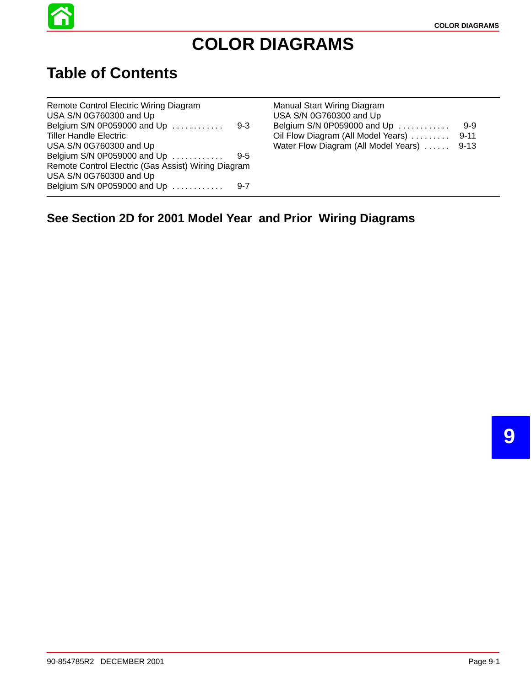

# **COLOR DIAGRAMS**

#### **Table of Contents**

| Remote Control Electric Wiring Diagram<br>USA S/N 0G760300 and Up<br>Belgium S/N 0P059000 and Up $\dots\dots\dots\dots$<br><b>Tiller Handle Electric</b><br>USA S/N 0G760300 and Up | 9-3  | Manual Start Wiring Diagram<br>USA S/N 0G760300 and Up<br>Belgium S/N 0P059000 and Up $\dots\dots\dots\dots$<br>Oil Flow Diagram (All Model Years)<br>Water Flow Diagram (All Model Years)  9-13 | 9-9<br>$9 - 11$ |
|-------------------------------------------------------------------------------------------------------------------------------------------------------------------------------------|------|--------------------------------------------------------------------------------------------------------------------------------------------------------------------------------------------------|-----------------|
| Belgium S/N 0P059000 and Up  9-5                                                                                                                                                    |      |                                                                                                                                                                                                  |                 |
| Remote Control Electric (Gas Assist) Wiring Diagram<br>USA S/N 0G760300 and Up<br>Belgium S/N 0P059000 and Up $\dots\dots\dots\dots$                                                | -9-7 |                                                                                                                                                                                                  |                 |

#### **See Section 2D for 2001 Model Year and Prior Wiring Diagrams**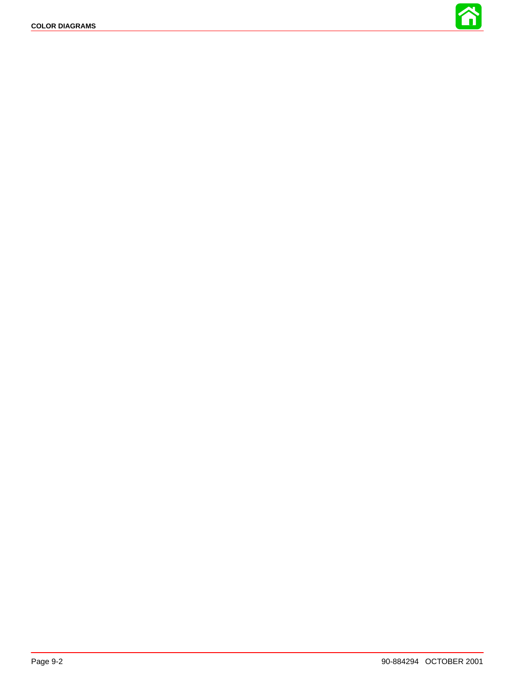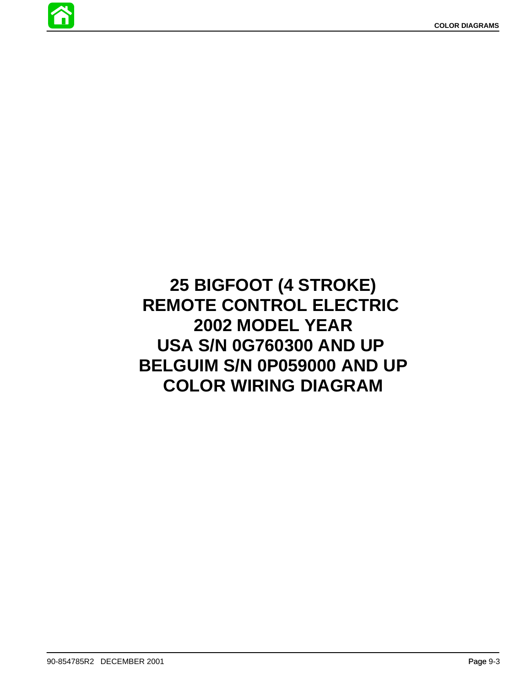

## **25 BIGFOOT (4 STROKE) REMOTE CONTROL ELECTRIC 2002 MODEL YEAR USA S/N 0G760300 AND UP BELGUIM S/N 0P059000 AND UP COLOR WIRING DIAGRAM**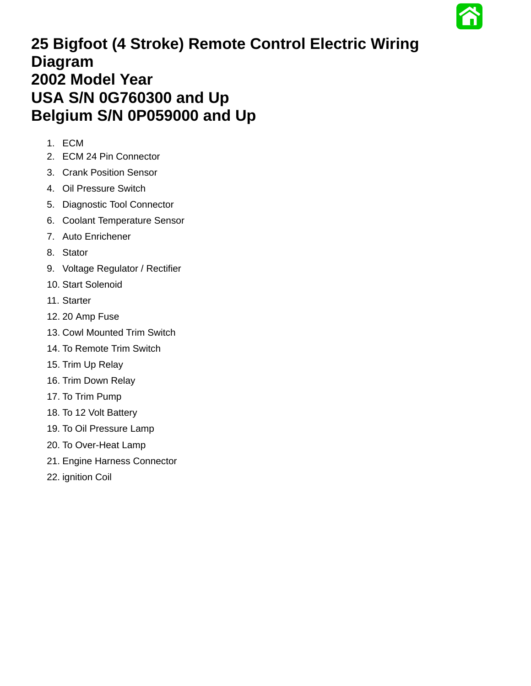

#### <span id="page-3-0"></span>**25 Bigfoot (4 Stroke) Remote Control Electric Wiring Diagram 2002 Model Year USA S/N 0G760300 and Up Belgium S/N 0P059000 and Up**

- 1. ECM
- 2. ECM 24 Pin Connector
- 3. Crank Position Sensor
- 4. Oil Pressure Switch
- 5. Diagnostic Tool Connector
- 6. Coolant Temperature Sensor
- 7. Auto Enrichener
- 8. Stator
- 9. Voltage Regulator / Rectifier
- 10. Start Solenoid
- 11. Starter
- 12. 20 Amp Fuse
- 13. Cowl Mounted Trim Switch
- 14. To Remote Trim Switch
- 15. Trim Up Relay
- 16. Trim Down Relay
- 17. To Trim Pump
- 18. To 12 Volt Battery
- 19. To Oil Pressure Lamp
- 20. To Over-Heat Lamp
- 21. Engine Harness Connector
- 22. ignition Coil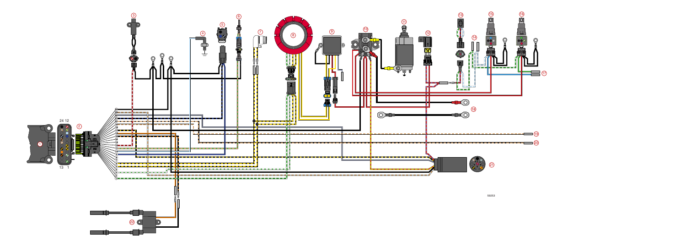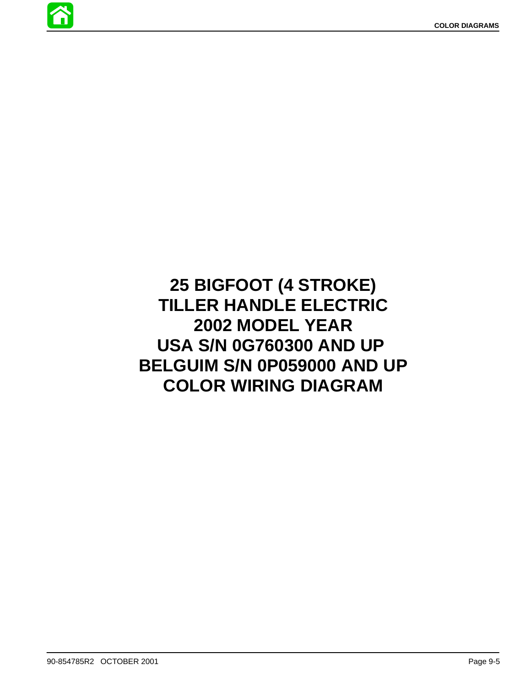

## **25 BIGFOOT (4 STROKE) TILLER HANDLE ELECTRIC 2002 MODEL YEAR USA S/N 0G760300 AND UP BELGUIM S/N 0P059000 AND UP COLOR WIRING DIAGRAM**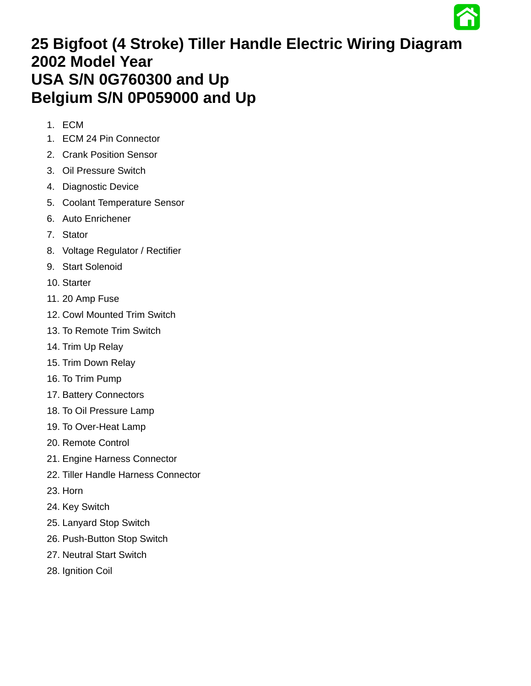### **25 Bigfoot (4 Stroke) Tiller Handle Electric Wiring Diagram 2002 Model Year USA S/N 0G760300 and Up Belgium S/N 0P059000 and Up**

- 1. ECM
- 1. ECM 24 Pin Connector
- 2. Crank Position Sensor
- 3. Oil Pressure Switch
- 4. Diagnostic Device
- 5. Coolant Temperature Sensor
- 6. Auto Enrichener
- 7. Stator
- 8. Voltage Regulator / Rectifier
- 9. Start Solenoid
- 10. Starter
- 11. 20 Amp Fuse
- 12. Cowl Mounted Trim Switch
- 13. To Remote Trim Switch
- 14. Trim Up Relay
- 15. Trim Down Relay
- 16. To Trim Pump
- 17. Battery Connectors
- 18. To Oil Pressure Lamp
- 19. To Over-Heat Lamp
- 20. Remote Control
- 21. Engine Harness Connector
- 22. Tiller Handle Harness Connector
- 23. Horn
- 24. Key Switch
- 25. Lanyard Stop Switch
- 26. Push-Button Stop Switch
- 27. Neutral Start Switch
- 28. Ignition Coil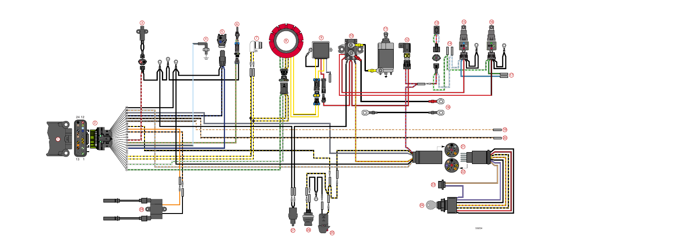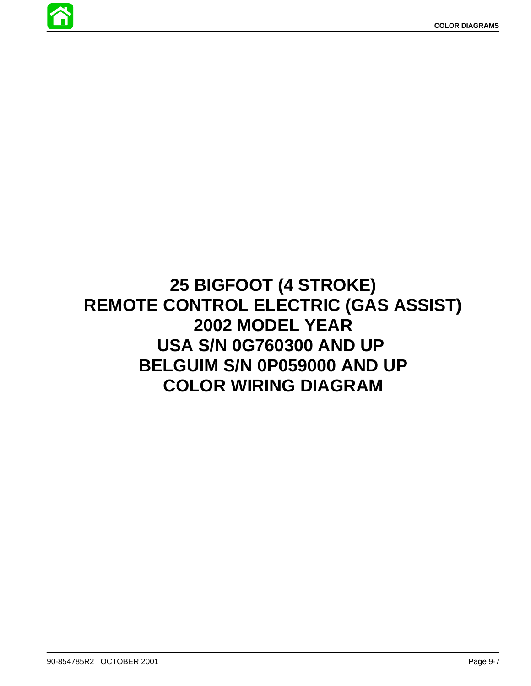

## **25 BIGFOOT (4 STROKE) REMOTE CONTROL ELECTRIC (GAS ASSIST) 2002 MODEL YEAR USA S/N 0G760300 AND UP BELGUIM S/N 0P059000 AND UP COLOR WIRING DIAGRAM**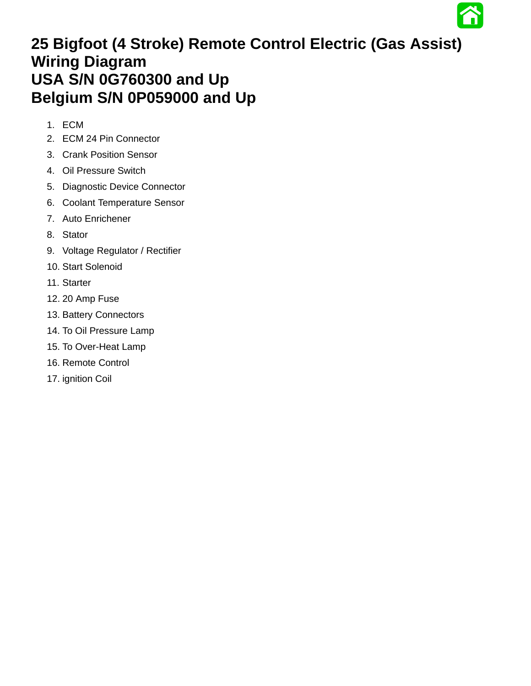#### **25 Bigfoot (4 Stroke) Remote Control Electric (Gas Assist) Wiring Diagram USA S/N 0G760300 and Up Belgium S/N 0P059000 and Up**

- 1. ECM
- 2. ECM 24 Pin Connector
- 3. Crank Position Sensor
- 4. Oil Pressure Switch
- 5. Diagnostic Device Connector
- 6. Coolant Temperature Sensor
- 7. Auto Enrichener
- 8. Stator
- 9. Voltage Regulator / Rectifier
- 10. Start Solenoid
- 11. Starter
- 12. 20 Amp Fuse
- 13. Battery Connectors
- 14. To Oil Pressure Lamp
- 15. To Over-Heat Lamp
- 16. Remote Control
- 17. ignition Coil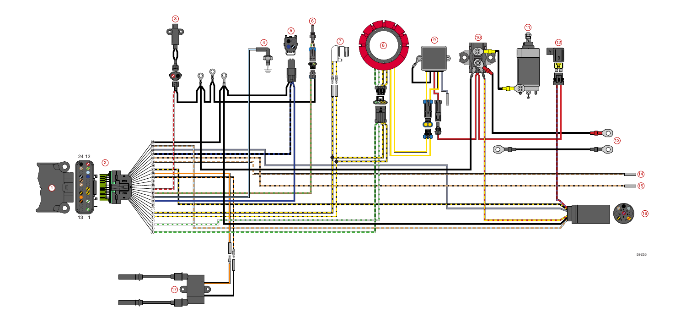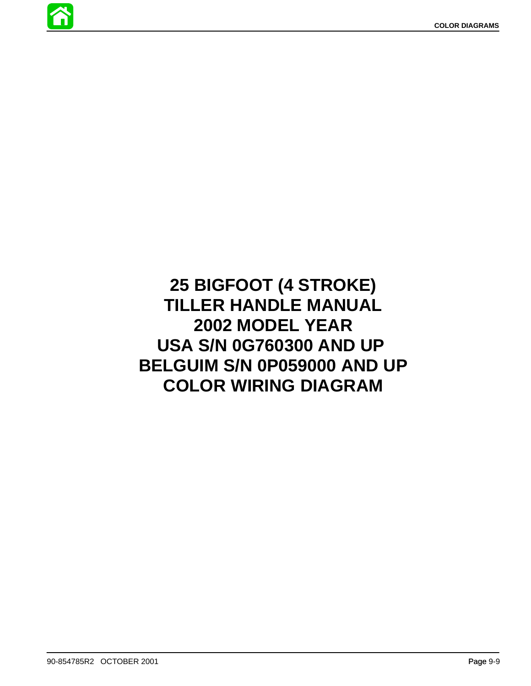

## **25 BIGFOOT (4 STROKE) TILLER HANDLE MANUAL 2002 MODEL YEAR USA S/N 0G760300 AND UP BELGUIM S/N 0P059000 AND UP COLOR WIRING DIAGRAM**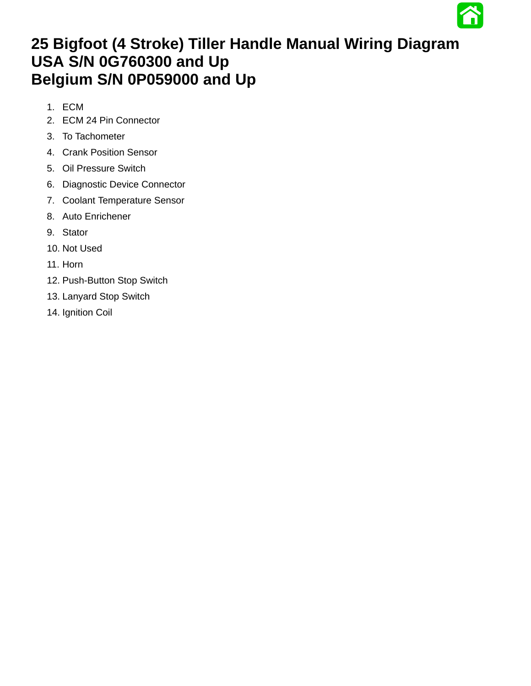

### **25 Bigfoot (4 Stroke) Tiller Handle Manual Wiring Diagram USA S/N 0G760300 and Up Belgium S/N 0P059000 and Up**

- 1. ECM
- 2. ECM 24 Pin Connector
- 3. To Tachometer
- 4. Crank Position Sensor
- 5. Oil Pressure Switch
- 6. Diagnostic Device Connector
- 7. Coolant Temperature Sensor
- 8. Auto Enrichener
- 9. Stator
- 10. Not Used
- 11. Horn
- 12. Push-Button Stop Switch
- 13. Lanyard Stop Switch
- 14. Ignition Coil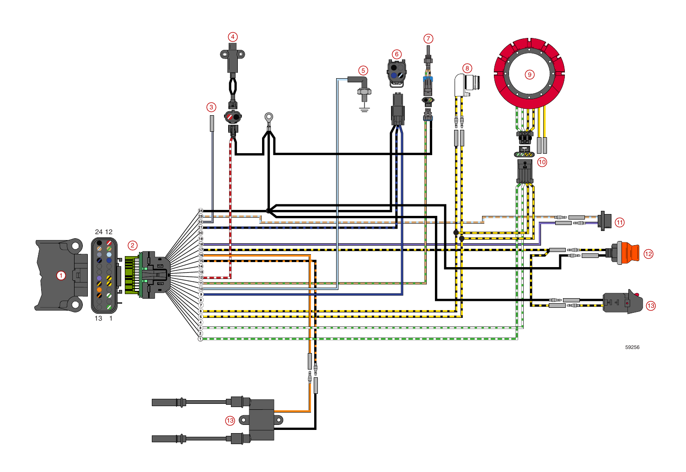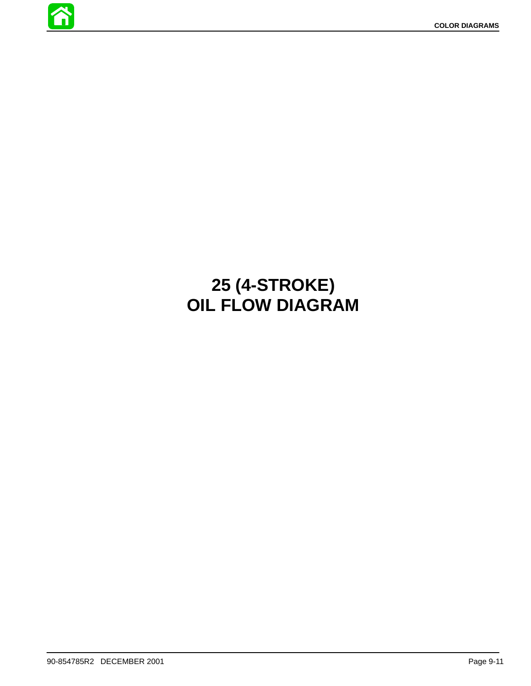

# **25 (4-STROKE) OIL FLOW DIAGRAM**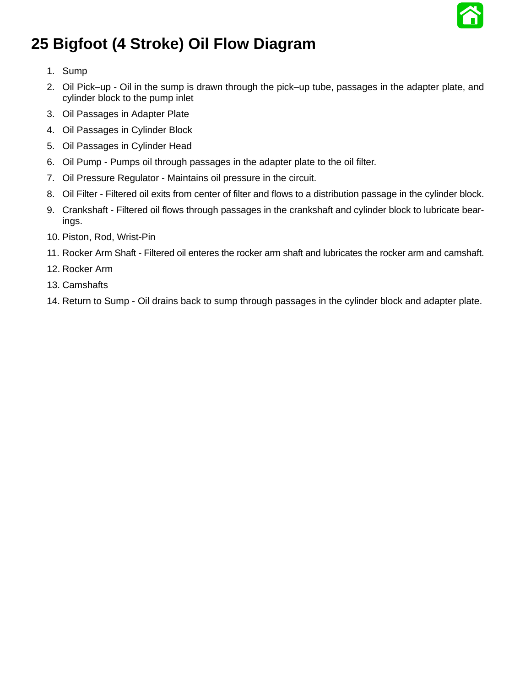

# **25 Bigfoot (4 Stroke) Oil Flow Diagram**

- 1. Sump
- 2. Oil Pick–up Oil in the sump is drawn through the pick–up tube, passages in the adapter plate, and cylinder block to the pump inlet
- 3. Oil Passages in Adapter Plate
- 4. Oil Passages in Cylinder Block
- 5. Oil Passages in Cylinder Head
- 6. Oil Pump Pumps oil through passages in the adapter plate to the oil filter.
- 7. Oil Pressure Regulator Maintains oil pressure in the circuit.
- 8. Oil Filter Filtered oil exits from center of filter and flows to a distribution passage in the cylinder block.
- 9. Crankshaft Filtered oil flows through passages in the crankshaft and cylinder block to lubricate bearings.
- 10. Piston, Rod, Wrist-Pin
- 11. Rocker Arm Shaft Filtered oil enteres the rocker arm shaft and lubricates the rocker arm and camshaft.
- 12. Rocker Arm
- 13. Camshafts
- 14. Return to Sump Oil drains back to sump through passages in the cylinder block and adapter plate.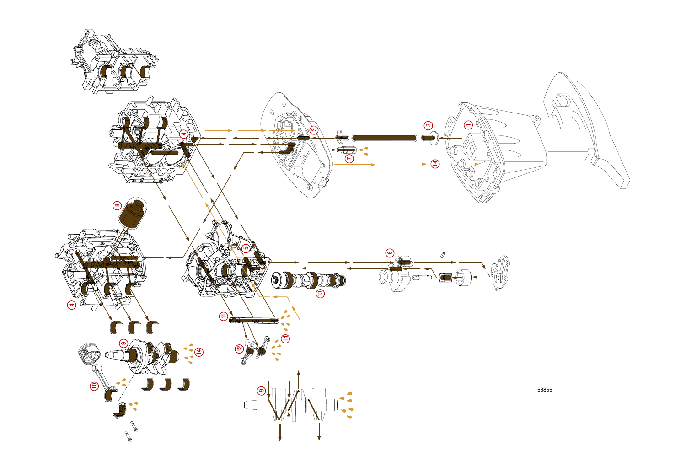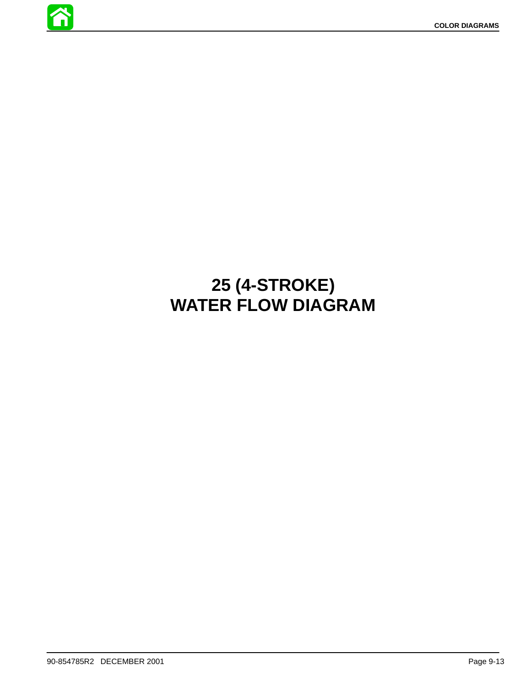

# **25 (4-STROKE) WATER FLOW DIAGRAM**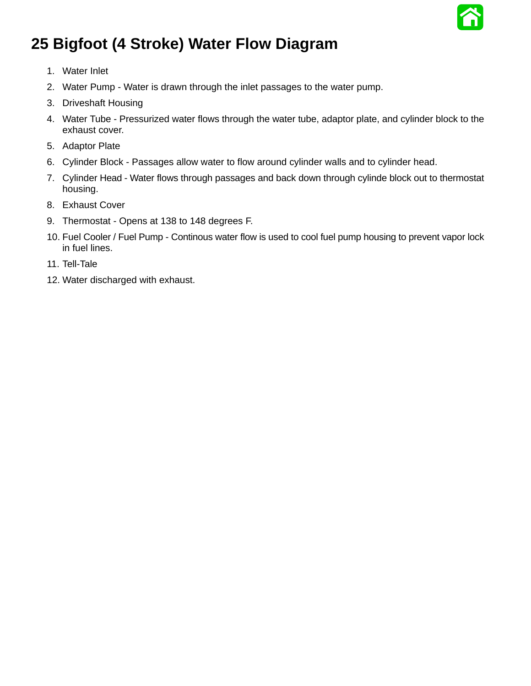

### **25 Bigfoot (4 Stroke) Water Flow Diagram**

- 1. Water Inlet
- 2. Water Pump Water is drawn through the inlet passages to the water pump.
- 3. Driveshaft Housing
- 4. Water Tube Pressurized water flows through the water tube, adaptor plate, and cylinder block to the exhaust cover.
- 5. Adaptor Plate
- 6. Cylinder Block Passages allow water to flow around cylinder walls and to cylinder head.
- 7. Cylinder Head Water flows through passages and back down through cylinde block out to thermostat housing.
- 8. Exhaust Cover
- 9. Thermostat Opens at 138 to 148 degrees F.
- 10. Fuel Cooler / Fuel Pump Continous water flow is used to cool fuel pump housing to prevent vapor lock in fuel lines.
- 11. Tell-Tale
- 12. Water discharged with exhaust.